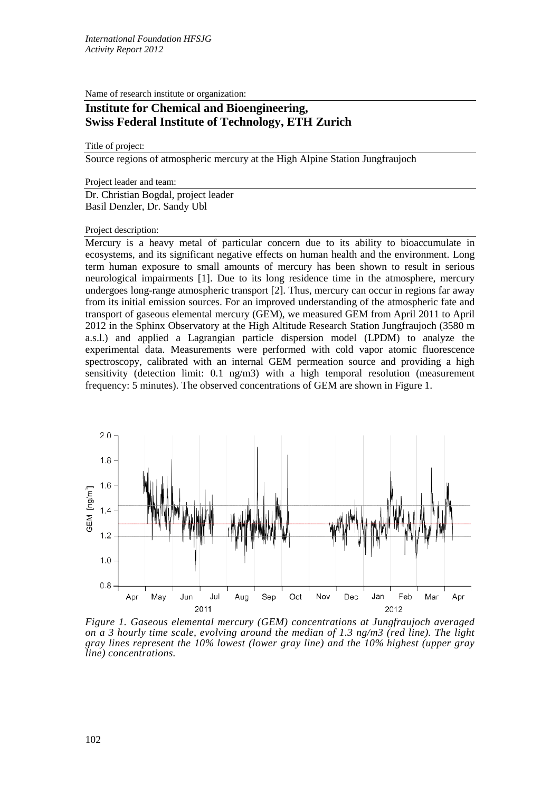Name of research institute or organization:

## **Institute for Chemical and Bioengineering, Swiss Federal Institute of Technology, ETH Zurich**

## Title of project:

Source regions of atmospheric mercury at the High Alpine Station Jungfraujoch

Project leader and team:

Dr. Christian Bogdal, project leader Basil Denzler, Dr. Sandy Ubl

Project description:

Mercury is a heavy metal of particular concern due to its ability to bioaccumulate in ecosystems, and its significant negative effects on human health and the environment. Long term human exposure to small amounts of mercury has been shown to result in serious neurological impairments [1]. Due to its long residence time in the atmosphere, mercury undergoes long-range atmospheric transport [2]. Thus, mercury can occur in regions far away from its initial emission sources. For an improved understanding of the atmospheric fate and transport of gaseous elemental mercury (GEM), we measured GEM from April 2011 to April 2012 in the Sphinx Observatory at the High Altitude Research Station Jungfraujoch (3580 m a.s.l.) and applied a Lagrangian particle dispersion model (LPDM) to analyze the experimental data. Measurements were performed with cold vapor atomic fluorescence spectroscopy, calibrated with an internal GEM permeation source and providing a high sensitivity (detection limit: 0.1 ng/m3) with a high temporal resolution (measurement frequency: 5 minutes). The observed concentrations of GEM are shown in Figure 1.



*Figure 1. Gaseous elemental mercury (GEM) concentrations at Jungfraujoch averaged on a 3 hourly time scale, evolving around the median of 1.3 ng/m3 (red line). The light gray lines represent the 10% lowest (lower gray line) and the 10% highest (upper gray line) concentrations.*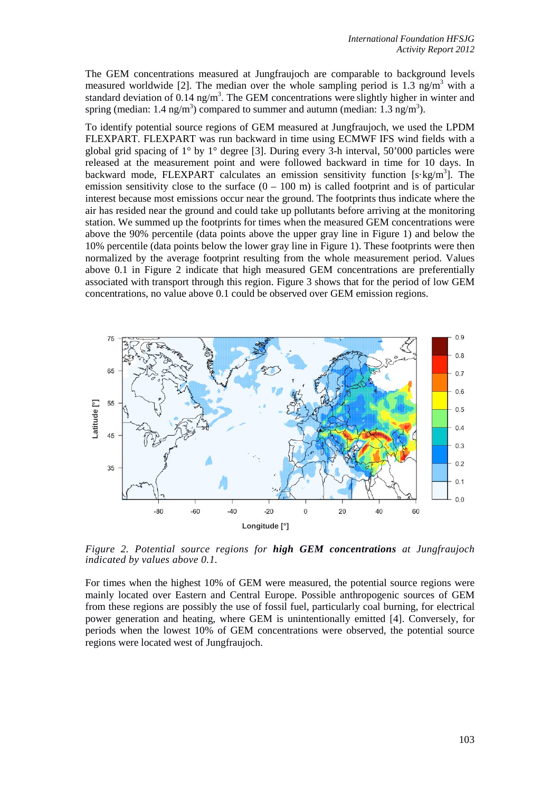The GEM concentrations measured at Jungfraujoch are comparable to background levels measured worldwide [2]. The median over the whole sampling period is 1.3 ng/m<sup>3</sup> with a standard deviation of 0.14 ng/m<sup>3</sup>. The GEM concentrations were slightly higher in winter and spring (median: 1.4 ng/m<sup>3</sup>) compared to summer and autumn (median: 1.3 ng/m<sup>3</sup>).

To identify potential source regions of GEM measured at Jungfraujoch, we used the LPDM FLEXPART. FLEXPART was run backward in time using ECMWF IFS wind fields with a global grid spacing of  $1^{\circ}$  by  $1^{\circ}$  degree [3]. During every 3-h interval, 50'000 particles were released at the measurement point and were followed backward in time for 10 days. In backward mode, FLEXPART calculates an emission sensitivity function [s·kg/m<sup>3</sup>]. The emission sensitivity close to the surface  $(0 - 100 \text{ m})$  is called footprint and is of particular interest because most emissions occur near the ground. The footprints thus indicate where the air has resided near the ground and could take up pollutants before arriving at the monitoring station. We summed up the footprints for times when the measured GEM concentrations were above the 90% percentile (data points above the upper gray line in Figure 1) and below the 10% percentile (data points below the lower gray line in Figure 1). These footprints were then normalized by the average footprint resulting from the whole measurement period. Values above 0.1 in Figure 2 indicate that high measured GEM concentrations are preferentially associated with transport through this region. Figure 3 shows that for the period of low GEM concentrations, no value above 0.1 could be observed over GEM emission regions.



*Figure 2. Potential source regions for high GEM concentrations at Jungfraujoch indicated by values above 0.1.*

For times when the highest 10% of GEM were measured, the potential source regions were mainly located over Eastern and Central Europe. Possible anthropogenic sources of GEM from these regions are possibly the use of fossil fuel, particularly coal burning, for electrical power generation and heating, where GEM is unintentionally emitted [4]. Conversely, for periods when the lowest 10% of GEM concentrations were observed, the potential source regions were located west of Jungfraujoch.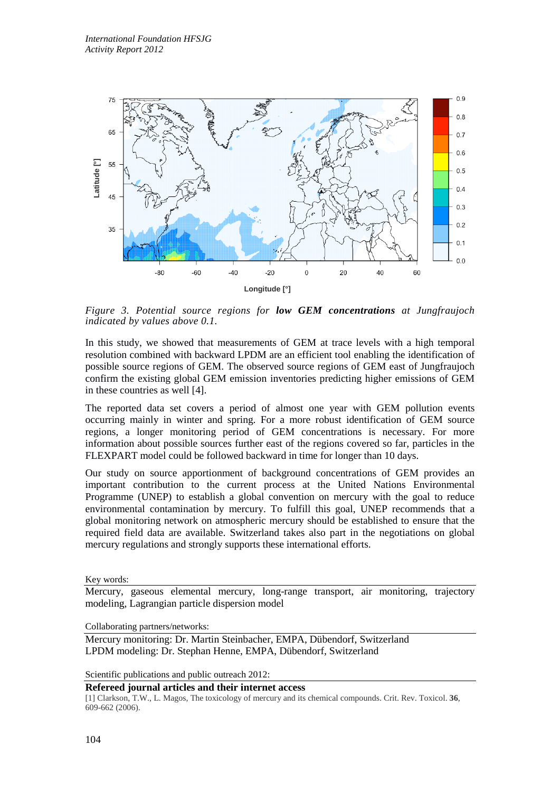

*Figure 3. Potential source regions for low GEM concentrations at Jungfraujoch indicated by values above 0.1.*

In this study, we showed that measurements of GEM at trace levels with a high temporal resolution combined with backward LPDM are an efficient tool enabling the identification of possible source regions of GEM. The observed source regions of GEM east of Jungfraujoch confirm the existing global GEM emission inventories predicting higher emissions of GEM in these countries as well [4].

The reported data set covers a period of almost one year with GEM pollution events occurring mainly in winter and spring. For a more robust identification of GEM source regions, a longer monitoring period of GEM concentrations is necessary. For more information about possible sources further east of the regions covered so far, particles in the FLEXPART model could be followed backward in time for longer than 10 days.

Our study on source apportionment of background concentrations of GEM provides an important contribution to the current process at the United Nations Environmental Programme (UNEP) to establish a global convention on mercury with the goal to reduce environmental contamination by mercury. To fulfill this goal, UNEP recommends that a global monitoring network on atmospheric mercury should be established to ensure that the required field data are available. Switzerland takes also part in the negotiations on global mercury regulations and strongly supports these international efforts.

Key words:

Mercury, gaseous elemental mercury, long-range transport, air monitoring, trajectory modeling, Lagrangian particle dispersion model

Collaborating partners/networks:

Mercury monitoring: Dr. Martin Steinbacher, EMPA, Dübendorf, Switzerland LPDM modeling: Dr. Stephan Henne, EMPA, Dübendorf, Switzerland

Scientific publications and public outreach 2012:

## **Refereed journal articles and their internet access**

[1] Clarkson, T.W., L. Magos, The toxicology of mercury and its chemical compounds. Crit. Rev. Toxicol. **36**, 609-662 (2006).